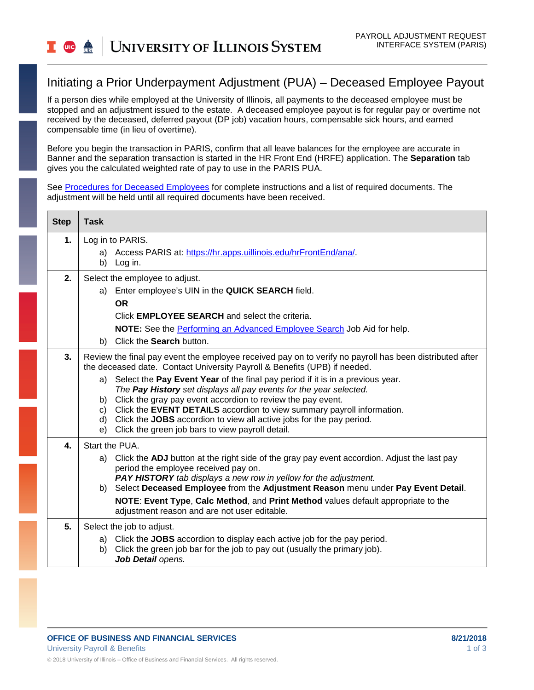## Initiating a Prior Underpayment Adjustment (PUA) – Deceased Employee Payout

If a person dies while employed at the University of Illinois, all payments to the deceased employee must be stopped and an adjustment issued to the estate. A deceased employee payout is for regular pay or overtime not received by the deceased, deferred payout (DP job) vacation hours, compensable sick hours, and earned compensable time (in lieu of overtime).

Before you begin the transaction in PARIS, confirm that all leave balances for the employee are accurate in Banner and the separation transaction is started in the HR Front End (HRFE) application. The **Separation** tab gives you the calculated weighted rate of pay to use in the PARIS PUA.

See [Procedures for Deceased Employees](https://www.hr.uillinois.edu/UserFiles/Servers/Server_4208/File/HRIS/Procedures%20for%20Deceased%20Employee%20012318.pdf) for complete instructions and a list of required documents. The adjustment will be held until all required documents have been received.

| <b>Step</b> | <b>Task</b>                                                                                                                                                |
|-------------|------------------------------------------------------------------------------------------------------------------------------------------------------------|
| 1.          | Log in to PARIS.                                                                                                                                           |
|             | a) Access PARIS at: https://hr.apps.uillinois.edu/hrFrontEnd/ana/.<br>b)<br>Log in.                                                                        |
| 2.          | Select the employee to adjust.                                                                                                                             |
|             | Enter employee's UIN in the QUICK SEARCH field.<br>a)                                                                                                      |
|             | <b>OR</b><br>Click <b>EMPLOYEE SEARCH</b> and select the criteria.                                                                                         |
|             | NOTE: See the Performing an Advanced Employee Search Job Aid for help.                                                                                     |
|             | Click the Search button.<br>b)                                                                                                                             |
| 3.          | Review the final pay event the employee received pay on to verify no payroll has been distributed after                                                    |
|             | the deceased date. Contact University Payroll & Benefits (UPB) if needed.                                                                                  |
|             | Select the Pay Event Year of the final pay period if it is in a previous year.<br>a)<br>The Pay History set displays all pay events for the year selected. |
|             | Click the gray pay event accordion to review the pay event.<br>b)                                                                                          |
|             | Click the EVENT DETAILS accordion to view summary payroll information.<br>C)<br>Click the JOBS accordion to view all active jobs for the pay period.<br>d) |
|             | Click the green job bars to view payroll detail.<br>e)                                                                                                     |
| 4.          | Start the PUA.                                                                                                                                             |
|             | a) Click the ADJ button at the right side of the gray pay event accordion. Adjust the last pay<br>period the employee received pay on.                     |
|             | <b>PAY HISTORY</b> tab displays a new row in yellow for the adjustment.                                                                                    |
|             | Select Deceased Employee from the Adjustment Reason menu under Pay Event Detail.<br>b)                                                                     |
|             | NOTE: Event Type, Calc Method, and Print Method values default appropriate to the<br>adjustment reason and are not user editable.                          |
| 5.          | Select the job to adjust.                                                                                                                                  |
|             | Click the JOBS accordion to display each active job for the pay period.<br>a)                                                                              |
|             | Click the green job bar for the job to pay out (usually the primary job).<br>b)<br>Job Detail opens.                                                       |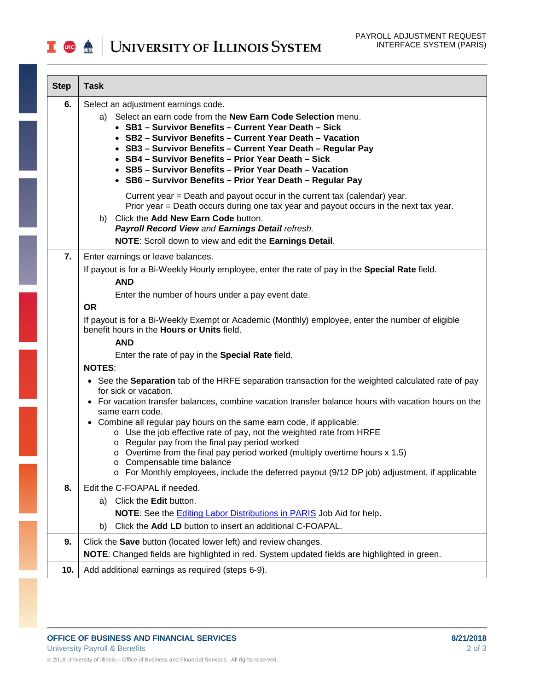| <b>Step</b> | <b>Task</b>                                                                                                                                                                                                                                                                                                                                                                                                                                                                                                                                                                                                                                                             |
|-------------|-------------------------------------------------------------------------------------------------------------------------------------------------------------------------------------------------------------------------------------------------------------------------------------------------------------------------------------------------------------------------------------------------------------------------------------------------------------------------------------------------------------------------------------------------------------------------------------------------------------------------------------------------------------------------|
| 6.          | Select an adjustment earnings code.<br>a) Select an earn code from the New Earn Code Selection menu.<br>• SB1 - Survivor Benefits - Current Year Death - Sick<br>• SB2 - Survivor Benefits - Current Year Death - Vacation<br>• SB3 - Survivor Benefits - Current Year Death - Regular Pay<br>• SB4 - Survivor Benefits - Prior Year Death - Sick<br>• SB5 - Survivor Benefits - Prior Year Death - Vacation<br>• SB6 - Survivor Benefits - Prior Year Death - Regular Pay                                                                                                                                                                                              |
|             | Current year = Death and payout occur in the current tax (calendar) year.<br>Prior year = Death occurs during one tax year and payout occurs in the next tax year.<br>b) Click the Add New Earn Code button.<br>Payroll Record View and Earnings Detail refresh.<br>NOTE: Scroll down to view and edit the Earnings Detail.                                                                                                                                                                                                                                                                                                                                             |
| 7.          | Enter earnings or leave balances.<br>If payout is for a Bi-Weekly Hourly employee, enter the rate of pay in the Special Rate field.<br><b>AND</b><br>Enter the number of hours under a pay event date.<br><b>OR</b><br>If payout is for a Bi-Weekly Exempt or Academic (Monthly) employee, enter the number of eligible<br>benefit hours in the <b>Hours or Units</b> field.                                                                                                                                                                                                                                                                                            |
|             | <b>AND</b><br>Enter the rate of pay in the <b>Special Rate</b> field.<br><b>NOTES:</b>                                                                                                                                                                                                                                                                                                                                                                                                                                                                                                                                                                                  |
|             | • See the Separation tab of the HRFE separation transaction for the weighted calculated rate of pay<br>for sick or vacation.<br>• For vacation transfer balances, combine vacation transfer balance hours with vacation hours on the<br>same earn code.<br>• Combine all regular pay hours on the same earn code, if applicable:<br>o Use the job effective rate of pay, not the weighted rate from HRFE<br>Regular pay from the final pay period worked<br>$\circ$ Overtime from the final pay period worked (multiply overtime hours x 1.5)<br>Compensable time balance<br>For Monthly employees, include the deferred payout (9/12 DP job) adjustment, if applicable |
| 8.          | Edit the C-FOAPAL if needed.<br>Click the Edit button.<br>a)<br>NOTE: See the Editing Labor Distributions in PARIS Job Aid for help.<br>Click the Add LD button to insert an additional C-FOAPAL.<br>b)                                                                                                                                                                                                                                                                                                                                                                                                                                                                 |
| 9.          | Click the Save button (located lower left) and review changes.<br>NOTE: Changed fields are highlighted in red. System updated fields are highlighted in green.                                                                                                                                                                                                                                                                                                                                                                                                                                                                                                          |
| 10.         | Add additional earnings as required (steps 6-9).                                                                                                                                                                                                                                                                                                                                                                                                                                                                                                                                                                                                                        |